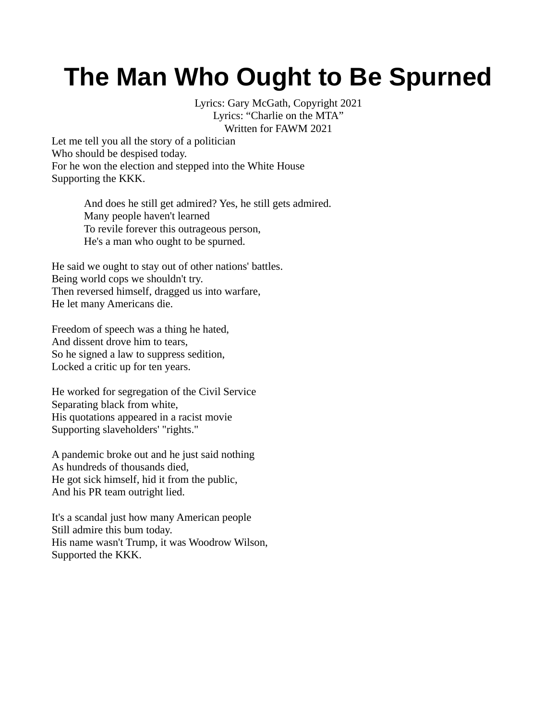## **The Man Who Ought to Be Spurned**

Lyrics: Gary McGath, Copyright 2021 Lyrics: "Charlie on the MTA" Written for FAWM 2021

Let me tell you all the story of a politician Who should be despised today. For he won the election and stepped into the White House Supporting the KKK.

> And does he still get admired? Yes, he still gets admired. Many people haven't learned To revile forever this outrageous person, He's a man who ought to be spurned.

He said we ought to stay out of other nations' battles. Being world cops we shouldn't try. Then reversed himself, dragged us into warfare, He let many Americans die.

Freedom of speech was a thing he hated, And dissent drove him to tears, So he signed a law to suppress sedition, Locked a critic up for ten years.

He worked for segregation of the Civil Service Separating black from white, His quotations appeared in a racist movie Supporting slaveholders' "rights."

A pandemic broke out and he just said nothing As hundreds of thousands died, He got sick himself, hid it from the public, And his PR team outright lied.

It's a scandal just how many American people Still admire this bum today. His name wasn't Trump, it was Woodrow Wilson, Supported the KKK.